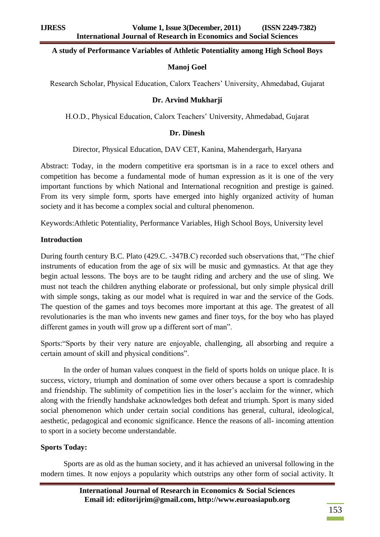#### **A study of Performance Variables of Athletic Potentiality among High School Boys**

#### **Manoj Goel**

Research Scholar, Physical Education, Calorx Teachers' University, Ahmedabad, Gujarat

#### **Dr. Arvind Mukharji**

H.O.D., Physical Education, Calorx Teachers' University, Ahmedabad, Gujarat

#### **Dr. Dinesh**

Director, Physical Education, DAV CET, Kanina, Mahendergarh, Haryana

Abstract: Today, in the modern competitive era sportsman is in a race to excel others and competition has become a fundamental mode of human expression as it is one of the very important functions by which National and International recognition and prestige is gained. From its very simple form, sports have emerged into highly organized activity of human society and it has become a complex social and cultural phenomenon.

Keywords:Athletic Potentiality, Performance Variables, High School Boys, University level

#### **Introduction**

During fourth century B.C. Plato (429.C. -347B.C) recorded such observations that, "The chief instruments of education from the age of six will be music and gymnastics. At that age they begin actual lessons. The boys are to be taught riding and archery and the use of sling. We must not teach the children anything elaborate or professional, but only simple physical drill with simple songs, taking as our model what is required in war and the service of the Gods. The question of the games and toys becomes more important at this age. The greatest of all revolutionaries is the man who invents new games and finer toys, for the boy who has played different games in youth will grow up a different sort of man".

Sports: "Sports by their very nature are enjoyable, challenging, all absorbing and require a certain amount of skill and physical conditions".

In the order of human values conquest in the field of sports holds on unique place. It is success, victory, triumph and domination of some over others because a sport is comradeship and friendship. The sublimity of competition lies in the loser's acclaim for the winner, which along with the friendly handshake acknowledges both defeat and triumph. Sport is many sided social phenomenon which under certain social conditions has general, cultural, ideological, aesthetic, pedagogical and economic significance. Hence the reasons of all- incoming attention to sport in a society become understandable.

#### **Sports Today:**

Sports are as old as the human society, and it has achieved an universal following in the modern times. It now enjoys a popularity which outstrips any other form of social activity. It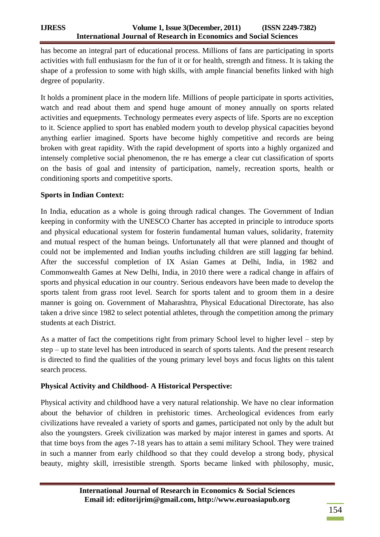has become an integral part of educational process. Millions of fans are participating in sports activities with full enthusiasm for the fun of it or for health, strength and fitness. It is taking the shape of a profession to some with high skills, with ample financial benefits linked with high degree of popularity.

It holds a prominent place in the modern life. Millions of people participate in sports activities, watch and read about them and spend huge amount of money annually on sports related activities and equepments. Technology permeates every aspects of life. Sports are no exception to it. Science applied to sport has enabled modern youth to develop physical capacities beyond anything earlier imagined. Sports have become highly competitive and records are being broken with great rapidity. With the rapid development of sports into a highly organized and intensely completive social phenomenon, the re has emerge a clear cut classification of sports on the basis of goal and intensity of participation, namely, recreation sports, health or conditioning sports and competitive sports.

## **Sports in Indian Context:**

In India, education as a whole is going through radical changes. The Government of Indian keeping in conformity with the UNESCO Charter has accepted in principle to introduce sports and physical educational system for fosterin fundamental human values, solidarity, fraternity and mutual respect of the human beings. Unfortunately all that were planned and thought of could not be implemented and Indian youths including children are still lagging far behind. After the successful completion of IX Asian Games at Delhi, India, in 1982 and Commonwealth Games at New Delhi, India, in 2010 there were a radical change in affairs of sports and physical education in our country. Serious endeavors have been made to develop the sports talent from grass root level. Search for sports talent and to groom them in a desire manner is going on. Government of Maharashtra, Physical Educational Directorate, has also taken a drive since 1982 to select potential athletes, through the competition among the primary students at each District.

As a matter of fact the competitions right from primary School level to higher level – step by step – up to state level has been introduced in search of sports talents. And the present research is directed to find the qualities of the young primary level boys and focus lights on this talent search process.

### **Physical Activity and Childhood- A Historical Perspective:**

Physical activity and childhood have a very natural relationship. We have no clear information about the behavior of children in prehistoric times. Archeological evidences from early civilizations have revealed a variety of sports and games, participated not only by the adult but also the youngsters. Greek civilization was marked by major interest in games and sports. At that time boys from the ages 7-18 years has to attain a semi military School. They were trained in such a manner from early childhood so that they could develop a strong body, physical beauty, mighty skill, irresistible strength. Sports became linked with philosophy, music,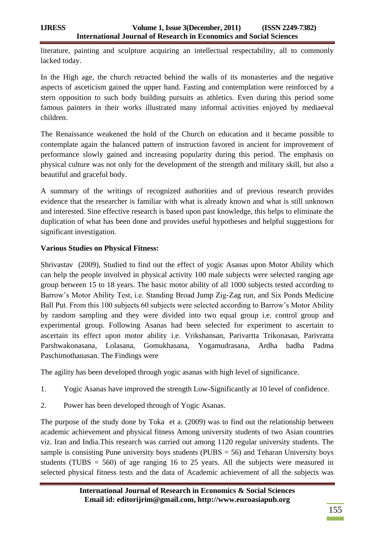literature, painting and sculpture acquiring an intellectual respectability, all to commonly lacked today.

In the High age, the church retracted behind the walls of its monasteries and the negative aspects of asceticism gained the upper hand. Fasting and contemplation were reinforced by a stern opposition to such body building pursuits as athletics. Even during this period some famous painters in their works illustrated many informal activities enjoyed by mediaeval children.

The Renaissance weakened the hold of the Church on education and it became possible to contemplate again the balanced pattern of instruction favored in ancient for improvement of performance slowly gained and increasing popularity during this period. The emphasis on physical culture was not only for the development of the strength and military skill, but also a beautiful and graceful body.

A summary of the writings of recognized authorities and of previous research provides evidence that the researcher is familiar with what is already known and what is still unknown and interested. Sine effective research is based upon past knowledge, this helps to eliminate the duplication of what has been done and provides useful hypotheses and helpful suggestions for significant investigation.

# **Various Studies on Physical Fitness:**

Shrivastav (2009), Studied to find out the effect of yogic Asanas upon Motor Ability which can help the people involved in physical activity 100 male subjects were selected ranging age group between 15 to 18 years. The basic motor ability of all 1000 subjects tested according to Barrow's Motor Ability Test, i.e. Standing Broad Jump Zig-Zag run, and Six Ponds Medicine Ball Put. From this 100 subjects 60 subjects were selected according to Barrow's Motor Ability by random sampling and they were divided into two equal group i.e. control group and experimental group. Following Asanas had been selected for experiment to ascertain to ascertain its effect upon motor ability i.e. Vrikshansan, Parivartta Trikonasan, Parivratta Parshwakonasana, Lolasana, Gomukhasana, Yogamudrasana, Ardha badha Padma Paschimothanasan. The Findings were

The agility has been developed through yogic asanas with high level of significance.

- 1. Yogic Asanas have improved the strength Low-Significantly at 10 level of confidence.
- 2. Power has been developed through of Yogic Asanas.

The purpose of the study done by Toka et a. (2009) was to find out the relationship between academic achievement and physical fitness Among university students of two Asian countries viz. Iran and India.This research was carried out among 1120 regular university students. The sample is consisting Pune university boys students ( $PUBS = 56$ ) and Teharan University boys students (TUBS  $= 560$ ) of age ranging 16 to 25 years. All the subjects were measured in selected physical fitness tests and the data of Academic achievement of all the subjects was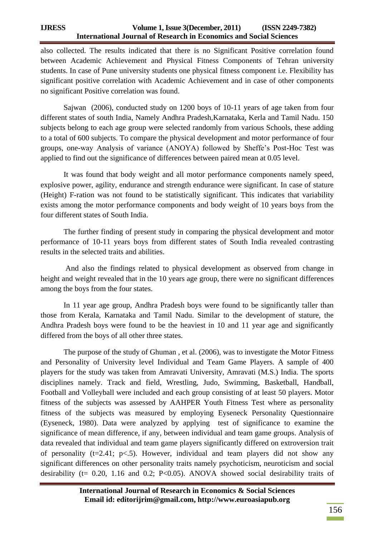also collected. The results indicated that there is no Significant Positive correlation found between Academic Achievement and Physical Fitness Components of Tehran university students. In case of Pune university students one physical fitness component i.e. Flexibility has significant positive correlation with Academic Achievement and in case of other components no significant Positive correlation was found.

Sajwan (2006), conducted study on 1200 boys of 10-11 years of age taken from four different states of south India, Namely Andhra Pradesh,Karnataka, Kerla and Tamil Nadu. 150 subjects belong to each age group were selected randomly from various Schools, these adding to a total of 600 subjects. To compare the physical development and motor performance of four groups, one-way Analysis of variance (ANOYA) followed by Sheffe's Post-Hoc Test was applied to find out the significance of differences between paired mean at 0.05 level.

It was found that body weight and all motor performance components namely speed, explosive power, agility, endurance and strength endurance were significant. In case of stature (Height) F-ration was not found to be statistically significant. This indicates that variability exists among the motor performance components and body weight of 10 years boys from the four different states of South India.

The further finding of present study in comparing the physical development and motor performance of 10-11 years boys from different states of South India revealed contrasting results in the selected traits and abilities.

And also the findings related to physical development as observed from change in height and weight revealed that in the 10 years age group, there were no significant differences among the boys from the four states.

In 11 year age group, Andhra Pradesh boys were found to be significantly taller than those from Kerala, Karnataka and Tamil Nadu. Similar to the development of stature, the Andhra Pradesh boys were found to be the heaviest in 10 and 11 year age and significantly differed from the boys of all other three states.

The purpose of the study of Ghuman , et al. (2006), was to investigate the Motor Fitness and Personality of University level Individual and Team Game Players. A sample of 400 players for the study was taken from Amravati University, Amravati (M.S.) India. The sports disciplines namely. Track and field, Wrestling, Judo, Swimming, Basketball, Handball, Football and Volleyball were included and each group consisting of at least 50 players. Motor fitness of the subjects was assessed by AAHPER Youth Fitness Test where as personality fitness of the subjects was measured by employing Eyseneck Personality Questionnaire (Eyseneck, 1980). Data were analyzed by applying test of significance to examine the significance of mean difference, if any, between individual and team game groups. Analysis of data revealed that individual and team game players significantly differed on extroversion trait of personality ( $t=2.41$ ;  $p<.5$ ). However, individual and team players did not show any significant differences on other personality traits namely psychoticism, neuroticism and social desirability ( $t= 0.20$ , 1.16 and 0.2; P<0.05). ANOVA showed social desirability traits of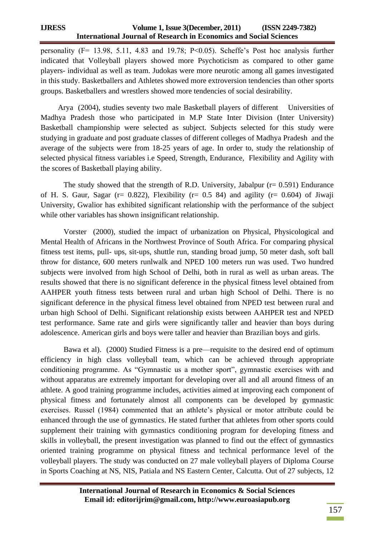personality (F= 13.98, 5.11, 4.83 and 19.78; P<0.05). Scheffe's Post hoc analysis further indicated that Volleyball players showed more Psychoticism as compared to other game players- individual as well as team. Judokas were more neurotic among all games investigated in this study. Basketballers and Athletes showed more extroversion tendencies than other sports groups. Basketballers and wrestlers showed more tendencies of social desirability.

 Arya (2004), studies seventy two male Basketball players of different Universities of Madhya Pradesh those who participated in M.P State Inter Division (Inter University) Basketball championship were selected as subject. Subjects selected for this study were studying in graduate and post graduate classes of different colleges of Madhya Pradesh and the average of the subjects were from 18-25 years of age. In order to, study the relationship of selected physical fitness variables i.e Speed, Strength, Endurance, Flexibility and Agility with the scores of Basketball playing ability.

The study showed that the strength of R.D. University, Jabalpur  $(r= 0.591)$  Endurance of H. S. Gaur, Sagar ( $r= 0.822$ ), Flexibility ( $r= 0.5$  84) and agility ( $r= 0.604$ ) of Jiwaji University, Gwalior has exhibited significant relationship with the performance of the subject while other variables has shown insignificant relationship.

Vorster (2000), studied the impact of urbanization on Physical, Physicological and Mental Health of Africans in the Northwest Province of South Africa. For comparing physical fitness test items, pull- ups, sit-ups, shuttle run, standing broad jump, 50 meter dash, soft ball throw for distance, 600 meters runlwalk and NPED 100 meters run was used. Two hundred subjects were involved from high School of Delhi, both in rural as well as urban areas. The results showed that there is no significant deference in the physical fitness level obtained from AAHPER youth fitness tests between rural and urban high School of Delhi. There is no significant deference in the physical fitness level obtained from NPED test between rural and urban high School of Delhi. Significant relationship exists between AAHPER test and NPED test performance. Same rate and girls were significantly taller and heavier than boys during adolescence. American girls and boys were taller and heavier than Brazilian boys and girls.

Bawa et al). (2000) Studied Fitness is a pre—requisite to the desired end of optimum efficiency in high class volleyball team, which can be achieved through appropriate conditioning programme. As "Gymnastic us a mother sport", gymnastic exercises with and without apparatus are extremely important for developing over all and all around fitness of an athlete. A good training programme includes, activities aimed at improving each component of physical fitness and fortunately almost all components can be developed by gymnastic exercises. Russel (1984) commented that an athlete's physical or motor attribute could be enhanced through the use of gymnastics. He stated further that athletes from other sports could supplement their training with gymnastics conditioning program for developing fitness and skills in volleyball, the present investigation was planned to find out the effect of gymnastics oriented training programme on physical fitness and technical performance level of the volleyball players. The study was conducted on 27 male volleyball players of Diploma Course in Sports Coaching at NS, NIS, Patiala and NS Eastern Center, Calcutta. Out of 27 subjects, 12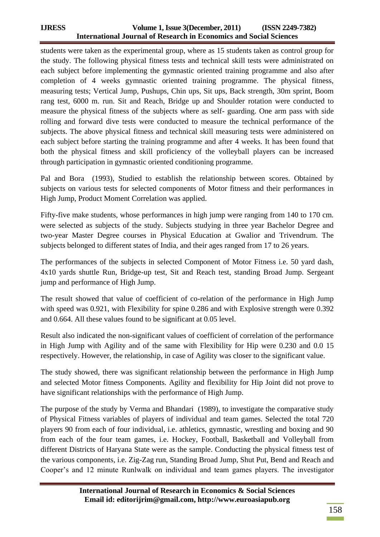students were taken as the experimental group, where as 15 students taken as control group for the study. The following physical fitness tests and technical skill tests were administrated on each subject before implementing the gymnastic oriented training programme and also after completion of 4 weeks gymnastic oriented training programme. The physical fitness, measuring tests; Vertical Jump, Pushups, Chin ups, Sit ups, Back strength, 30m sprint, Boom rang test, 6000 m. run. Sit and Reach, Bridge up and Shoulder rotation were conducted to measure the physical fitness of the subjects where as self- guarding. One arm pass with side rolling and forward dive tests were conducted to measure the technical performance of the subjects. The above physical fitness and technical skill measuring tests were administered on each subject before starting the training programme and after 4 weeks. It has been found that both the physical fitness and skill proficiency of the volleyball players can be increased through participation in gymnastic oriented conditioning programme.

Pal and Bora (1993), Studied to establish the relationship between scores. Obtained by subjects on various tests for selected components of Motor fitness and their performances in High Jump, Product Moment Correlation was applied.

Fifty-five make students, whose performances in high jump were ranging from 140 to 170 cm. were selected as subjects of the study. Subjects studying in three year Bachelor Degree and two-year Master Degree courses in Physical Education at Gwalior and Trivendrum. The subjects belonged to different states of India, and their ages ranged from 17 to 26 years.

The performances of the subjects in selected Component of Motor Fitness i.e. 50 yard dash, 4x10 yards shuttle Run, Bridge-up test, Sit and Reach test, standing Broad Jump. Sergeant jump and performance of High Jump.

The result showed that value of coefficient of co-relation of the performance in High Jump with speed was 0.921, with Flexibility for spine 0.286 and with Explosive strength were 0.392 and 0.664. All these values found to be significant at 0.05 level.

Result also indicated the non-significant values of coefficient of correlation of the performance in High Jump with Agility and of the same with Flexibility for Hip were 0.230 and 0.0 15 respectively. However, the relationship, in case of Agility was closer to the significant value.

The study showed, there was significant relationship between the performance in High Jump and selected Motor fitness Components. Agility and flexibility for Hip Joint did not prove to have significant relationships with the performance of High Jump.

The purpose of the study by Verma and Bhandari (1989), to investigate the comparative study of Physical Fitness variables of players of individual and team games. Selected the total 720 players 90 from each of four individual, i.e. athletics, gymnastic, wrestling and boxing and 90 from each of the four team games, i.e. Hockey, Football, Basketball and Volleyball from different Districts of Haryana State were as the sample. Conducting the physical fitness test of the various components, i.e. Zig-Zag run, Standing Broad Jump, Shut Put, Bend and Reach and Cooper's and 12 minute Runlwalk on individual and team games players. The investigator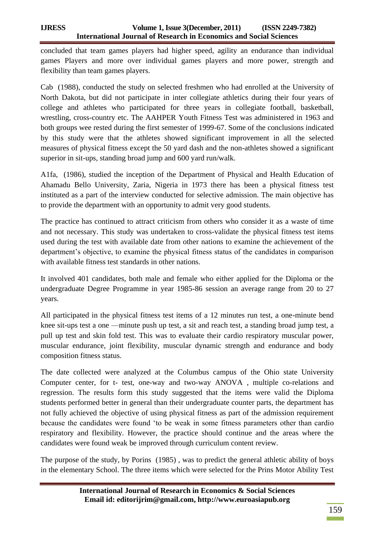concluded that team games players had higher speed, agility an endurance than individual games Players and more over individual games players and more power, strength and flexibility than team games players.

Cab (1988), conducted the study on selected freshmen who had enrolled at the University of North Dakota, but did not participate in inter collegiate athletics during their four years of college and athletes who participated for three years in collegiate football, basketball, wrestling, cross-country etc. The AAHPER Youth Fitness Test was administered in 1963 and both groups wee rested during the first semester of 1999-67. Some of the conclusions indicated by this study were that the athletes showed significant improvement in all the selected measures of physical fitness except the 50 yard dash and the non-athletes showed a significant superior in sit-ups, standing broad jump and 600 yard run/walk.

A1fa, (1986), studied the inception of the Department of Physical and Health Education of Ahamadu Bello University, Zaria, Nigeria in 1973 there has been a physical fitness test instituted as a part of the interview conducted for selective admission. The main objective has to provide the department with an opportunity to admit very good students.

The practice has continued to attract criticism from others who consider it as a waste of time and not necessary. This study was undertaken to cross-validate the physical fitness test items used during the test with available date from other nations to examine the achievement of the department's objective, to examine the physical fitness status of the candidates in comparison with available fitness test standards in other nations.

It involved 401 candidates, both male and female who either applied for the Diploma or the undergraduate Degree Programme in year 1985-86 session an average range from 20 to 27 years.

All participated in the physical fitness test items of a 12 minutes run test, a one-minute bend knee sit-ups test a one —minute push up test, a sit and reach test, a standing broad jump test, a pull up test and skin fold test. This was to evaluate their cardio respiratory muscular power, muscular endurance, joint flexibility, muscular dynamic strength and endurance and body composition fitness status.

The date collected were analyzed at the Columbus campus of the Ohio state University Computer center, for t- test, one-way and two-way ANOVA , multiple co-relations and regression. The results form this study suggested that the items were valid the Diploma students performed better in general than their undergraduate counter parts, the department has not fully achieved the objective of using physical fitness as part of the admission requirement because the candidates were found 'to be weak in some fitness parameters other than cardio respiratory and flexibility. However, the practice should continue and the areas where the candidates were found weak be improved through curriculum content review.

The purpose of the study, by Porins (1985) , was to predict the general athletic ability of boys in the elementary School. The three items which were selected for the Prins Motor Ability Test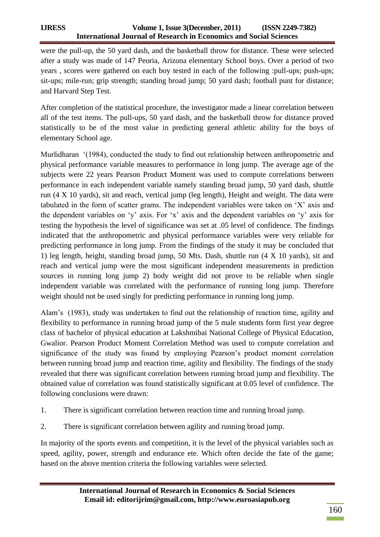were the pull-up, the 50 yard dash, and the basketball throw for distance. These were selected after a study was made of 147 Peoria, Arizona elementary School boys. Over a period of two years , scores were gathered on each boy tested in each of the following :pull-ups; push-ups; sit-ups; mile-run; grip strength; standing broad jump; 50 yard dash; football punt for distance; and Harvard Step Test.

After completion of the statistical procedure, the investigator made a linear correlation between all of the test items. The pull-ups, 50 yard dash, and the basketball throw for distance proved statistically to be of the most value in predicting general athletic ability for the boys of elementary School age.

Murlidharan  $(1984)$ , conducted the study to find out relationship between anthropometric and physical performance variable measures to performance in long jump. The average age of the subjects were 22 years Pearson Product Moment was used to compute correlations between performance in each independent variable namely standing broad jump, 50 yard dash, shuttle run (4 X 10 yards), sit and reach, vertical jump (leg length), Height and weight. The data were tabulated in the form of scatter grams. The independent variables were taken on  $X'$  axis and the dependent variables on 'y' axis. For 'x' axis and the dependent variables on 'y' axis for testing the hypothesis the level of significance was set at .05 level of confidence. The findings indicated that the anthropometric and physical performance variables were very reliable for predicting performance in long jump. From the findings of the study it may be concluded that 1) leg length, height, standing broad jump, 50 Mts. Dash, shuttle run (4 X 10 yards), sit and reach and vertical jump were the most significant independent measurements in prediction sources in running long jump 2) body weight did not prove to be reliable when single independent variable was correlated with the performance of running long jump. Therefore weight should not be used singly for predicting performance in running long jump.

Alam's (1983), study was undertaken to find out the relationship of reaction time, agility and flexibility to performance in running broad jump of the 5 male students form first year degree class of bachelor of physical education at Lakshmibai National College of Physical Education, Gwalior. Pearson Product Moment Correlation Method was used to compute correlation and significance of the study was found by employing Pearson's product moment correlation between running broad jump and reaction time, agility and flexibility. The findings of the study revealed that there was significant correlation between running broad jump and flexibility. The obtained value of correlation was found statistically significant at 0.05 level of confidence. The following conclusions were drawn:

- 1. There is significant correlation between reaction time and running broad jump.
- 2. There is significant correlation between agility and running broad jump.

In majority of the sports events and competition, it is the level of the physical variables such as speed, agility, power, strength and endurance ete. Which often decide the fate of the game; based on the above mention criteria the following variables were selected.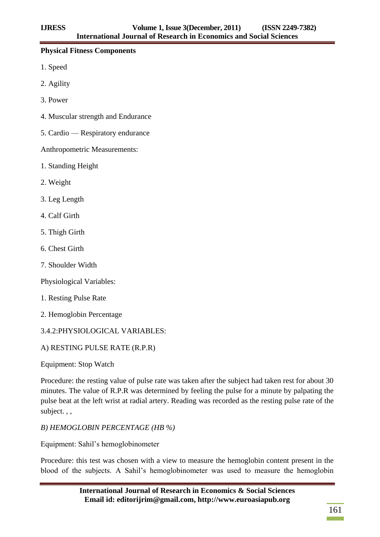## **Physical Fitness Components**

- 1. Speed
- 2. Agility
- 3. Power
- 4. Muscular strength and Endurance
- 5. Cardio Respiratory endurance

Anthropometric Measurements:

- 1. Standing Height
- 2. Weight
- 3. Leg Length
- 4. Calf Girth
- 5. Thigh Girth
- 6. Chest Girth
- 7. Shoulder Width

Physiological Variables:

- 1. Resting Pulse Rate
- 2. Hemoglobin Percentage

# 3.4.2:PHYSIOLOGICAL VARIABLES:

# A) RESTING PULSE RATE (R.P.R)

Equipment: Stop Watch

Procedure: the resting value of pulse rate was taken after the subject had taken rest for about 30 minutes. The value of R.P.R was determined by feeling the pulse for a minute by palpating the pulse beat at the left wrist at radial artery. Reading was recorded as the resting pulse rate of the subject. , ,

*B) HEMOGLOBIN PERCENTAGE (HB %)* 

Equipment: Sahil's hemoglobinometer

Procedure: this test was chosen with a view to measure the hemoglobin content present in the blood of the subjects. A Sahil's hemoglobinometer was used to measure the hemoglobin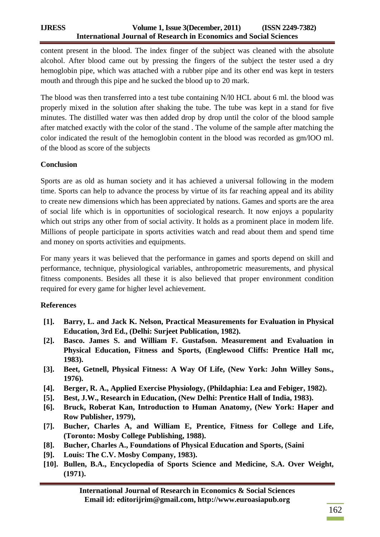content present in the blood. The index finger of the subject was cleaned with the absolute alcohol. After blood came out by pressing the fingers of the subject the tester used a dry hemoglobin pipe, which was attached with a rubber pipe and its other end was kept in testers mouth and through this pipe and he sucked the blood up to 20 mark.

The blood was then transferred into a test tube containing N/l0 HCL about 6 ml. the blood was properly mixed in the solution after shaking the tube. The tube was kept in a stand for five minutes. The distilled water was then added drop by drop until the color of the blood sample after matched exactly with the color of the stand . The volume of the sample after matching the color indicated the result of the hemoglobin content in the blood was recorded as gm/lOO ml. of the blood as score of the subjects

# **Conclusion**

Sports are as old as human society and it has achieved a universal following in the modem time. Sports can help to advance the process by virtue of its far reaching appeal and its ability to create new dimensions which has been appreciated by nations. Games and sports are the area of social life which is in opportunities of sociological research. It now enjoys a popularity which out strips any other from of social activity. It holds as a prominent place in modem life. Millions of people participate in sports activities watch and read about them and spend time and money on sports activities and equipments.

For many years it was believed that the performance in games and sports depend on skill and performance, technique, physiological variables, anthropometric measurements, and physical fitness components. Besides all these it is also believed that proper environment condition required for every game for higher level achievement.

# **References**

- **[1]. Barry, L. and Jack K. Nelson, Practical Measurements for Evaluation in Physical Education, 3rd Ed., (Delhi: Surjeet Publication, 1982).**
- **[2]. Basco. James S. and William F. Gustafson. Measurement and Evaluation in Physical Education, Fitness and Sports, (Englewood Cliffs: Prentice Hall mc, 1983).**
- **[3]. Beet, Getnell, Physical Fitness: A Way Of Life, (New York: John Willey Sons., 1976).**
- **[4]. Berger, R. A., Applied Exercise Physiology, (Phildaphia: Lea and Febiger, 1982).**
- **[5]. Best, J.W., Research in Education, (New Delhi: Prentice Hall of India, 1983).**
- **[6]. Bruck, Roberat Kan, Introduction to Human Anatomy, (New York: Haper and Row Publisher, 1979),**
- **[7]. Bucher, Charles A, and William E, Prentice, Fitness for College and Life, (Toronto: Mosby College Publishing, 1988).**
- **[8]. Bucher, Charles A., Foundations of Physical Education and Sports, (Saini**
- **[9]. Louis: The C.V. Mosby Company, 1983).**
- **[10]. Bullen, B.A., Encyclopedia of Sports Science and Medicine, S.A. Over Weight, (1971).**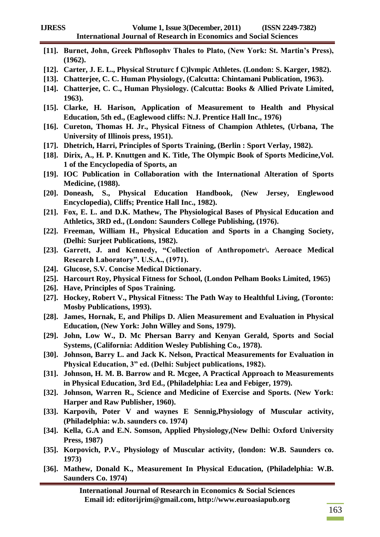|                    | [11]. Burnet, John, Greek Phflosophy Thales to Plato, (New York: St. Martin's Press),                 |  |  |  |  |  |  |  |  |
|--------------------|-------------------------------------------------------------------------------------------------------|--|--|--|--|--|--|--|--|
|                    | (1962).                                                                                               |  |  |  |  |  |  |  |  |
| $[12]$ .           | Carter, J. E. L., Physical Struture f C)lympic Athletes. (London: S. Karger, 1982).                   |  |  |  |  |  |  |  |  |
| $[13]$ .           | Chatterjee, C. C. Human Physiology, (Calcutta: Chintamani Publication, 1963).                         |  |  |  |  |  |  |  |  |
| $[14]$ .           | Chatterjee, C. C., Human Physiology. (Calcutta: Books & Allied Private Limited,                       |  |  |  |  |  |  |  |  |
|                    | 1963).                                                                                                |  |  |  |  |  |  |  |  |
| $[15]$ .           | Clarke, H. Harison, Application of Measurement to Health and Physical                                 |  |  |  |  |  |  |  |  |
|                    | Education, 5th ed., (Eaglewood cliffs: N.J. Prentice Hall Inc., 1976)                                 |  |  |  |  |  |  |  |  |
|                    | [16]. Cureton, Thomas H. Jr., Physical Fitness of Champion Athletes, (Urbana, The                     |  |  |  |  |  |  |  |  |
|                    | University of Illinois press, 1951).                                                                  |  |  |  |  |  |  |  |  |
|                    | [17]. Dhetrich, Harri, Principles of Sports Training, (Berlin: Sport Verlay, 1982).                   |  |  |  |  |  |  |  |  |
| $\left[18\right].$ | Dirix, A., H. P. Knuttgen and K. Title, The Olympic Book of Sports Medicine, Vol.                     |  |  |  |  |  |  |  |  |
|                    | 1 of the Encyclopedia of Sports, an                                                                   |  |  |  |  |  |  |  |  |
|                    | [19]. IOC Publication in Collaboration with the International Alteration of Sports                    |  |  |  |  |  |  |  |  |
|                    | <b>Medicine, (1988).</b>                                                                              |  |  |  |  |  |  |  |  |
|                    | [20]. Doneash, S., Physical Education Handbook, (New<br>Jersey, Englewood                             |  |  |  |  |  |  |  |  |
|                    | Encyclopedia), Cliffs; Prentice Hall Inc., 1982).                                                     |  |  |  |  |  |  |  |  |
|                    | [21]. Fox, E. L. and D.K. Mathew, The Physiological Bases of Physical Education and                   |  |  |  |  |  |  |  |  |
|                    | Athletics, 3RD ed., (London: Saunders College Publishing, (1976).                                     |  |  |  |  |  |  |  |  |
| $[22]$ .           | Freeman, William H., Physical Education and Sports in a Changing Society,                             |  |  |  |  |  |  |  |  |
|                    | (Delhi: Surjeet Publications, 1982).                                                                  |  |  |  |  |  |  |  |  |
|                    | [23]. Garrett, J. and Kennedy, "Collection of Anthropometr\. Aeroace Medical                          |  |  |  |  |  |  |  |  |
|                    | Research Laboratory". U.S.A., (1971).                                                                 |  |  |  |  |  |  |  |  |
| $[24]$ .           | <b>Glucose, S.V. Concise Medical Dictionary.</b>                                                      |  |  |  |  |  |  |  |  |
| $[25]$ .           | Harcourt Roy, Physical Fitness for School, (London Pelham Books Limited, 1965)                        |  |  |  |  |  |  |  |  |
| [26]               | Have, Principles of Spos Training.                                                                    |  |  |  |  |  |  |  |  |
| $[27]$ .           | Hockey, Robert V., Physical Fitness: The Path Way to Healthful Living, (Toronto:                      |  |  |  |  |  |  |  |  |
|                    | <b>Mosby Publications, 1993).</b>                                                                     |  |  |  |  |  |  |  |  |
| $[28]$ .           | James, Hornak, E, and Philips D. Alien Measurement and Evaluation in Physical                         |  |  |  |  |  |  |  |  |
|                    | Education, (New York: John Willey and Sons, 1979).                                                    |  |  |  |  |  |  |  |  |
|                    |                                                                                                       |  |  |  |  |  |  |  |  |
|                    |                                                                                                       |  |  |  |  |  |  |  |  |
|                    | [29]. John, Low W., D. Mc Phersan Barry and Kenyan Gerald, Sports and Social                          |  |  |  |  |  |  |  |  |
|                    | Systems, (California: Addition Wesley Publishing Co., 1978).                                          |  |  |  |  |  |  |  |  |
|                    | [30]. Johnson, Barry L. and Jack K. Nelson, Practical Measurements for Evaluation in                  |  |  |  |  |  |  |  |  |
|                    | Physical Education, 3" ed. (Delhi: Subject publications, 1982).                                       |  |  |  |  |  |  |  |  |
| $[31]$ .           | Johnson, H. M. B. Barrow and R. Mcgee, A Practical Approach to Measurements                           |  |  |  |  |  |  |  |  |
|                    | in Physical Education, 3rd Ed., (Philadelphia: Lea and Febiger, 1979).                                |  |  |  |  |  |  |  |  |
|                    | [32]. Johnson, Warren R., Science and Medicine of Exercise and Sports. (New York:                     |  |  |  |  |  |  |  |  |
|                    | Harper and Raw Publisher, 1960).                                                                      |  |  |  |  |  |  |  |  |
|                    | [33]. Karpovih, Poter V and waynes E Sennig, Physiology of Muscular activity,                         |  |  |  |  |  |  |  |  |
|                    | (Philadelphia: w.b. saunders co. 1974)                                                                |  |  |  |  |  |  |  |  |
|                    | [34]. Kella, G.A and E.N. Somson, Applied Physiology, (New Delhi: Oxford University                   |  |  |  |  |  |  |  |  |
|                    | Press, 1987)                                                                                          |  |  |  |  |  |  |  |  |
|                    | [35]. Korpovich, P.V., Physiology of Muscular activity, (london: W.B. Saunders co.                    |  |  |  |  |  |  |  |  |
|                    | <b>1973</b> )                                                                                         |  |  |  |  |  |  |  |  |
|                    |                                                                                                       |  |  |  |  |  |  |  |  |
|                    | [36]. Mathew, Donald K., Measurement In Physical Education, (Philadelphia: W.B.<br>Saunders Co. 1974) |  |  |  |  |  |  |  |  |